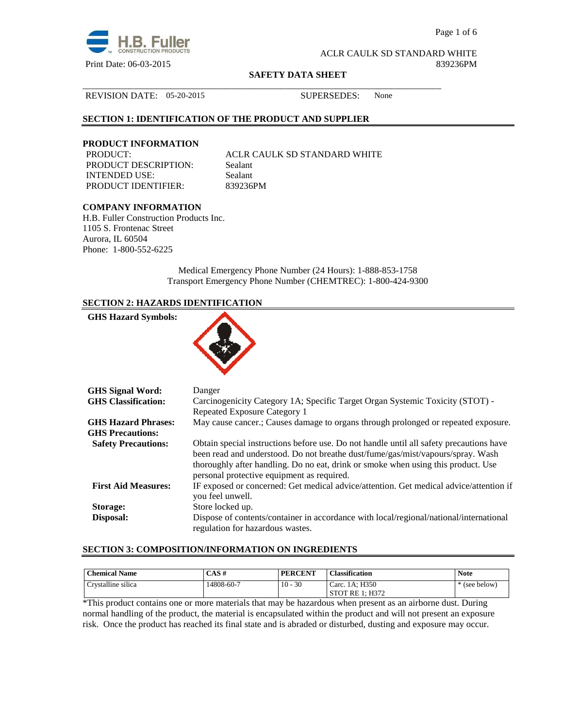

Page 1 of 6

ACLR CAULK SD STANDARD WHITE Print Date: 06-03-2015 839236PM

#### **SAFETY DATA SHEET**

\_\_\_\_\_\_\_\_\_\_\_\_\_\_\_\_\_\_\_\_\_\_\_\_\_\_\_\_\_\_\_\_\_\_\_\_\_\_\_\_\_\_\_\_\_\_\_\_\_\_\_\_\_\_\_\_\_\_\_\_\_\_\_\_\_\_\_\_\_\_\_\_\_\_\_\_\_\_

REVISION DATE: 05-20-2015 SUPERSEDES: None

# **SECTION 1: IDENTIFICATION OF THE PRODUCT AND SUPPLIER**

# **PRODUCT INFORMATION PRODUCT:**

PRODUCT DESCRIPTION: Sealant INTENDED USE: Sealant PRODUCT IDENTIFIER: 839236PM

ACLR CAULK SD STANDARD WHITE

# **COMPANY INFORMATION**

H.B. Fuller Construction Products Inc. 1105 S. Frontenac Street Aurora, IL 60504 Phone: 1-800-552-6225

> Medical Emergency Phone Number (24 Hours): 1-888-853-1758 Transport Emergency Phone Number (CHEMTREC): 1-800-424-9300

# **SECTION 2: HAZARDS IDENTIFICATION**

| <b>GHS Hazard Symbols:</b>                            |                                                                                                                                                                                                                                                                                                               |
|-------------------------------------------------------|---------------------------------------------------------------------------------------------------------------------------------------------------------------------------------------------------------------------------------------------------------------------------------------------------------------|
| <b>GHS Signal Word:</b>                               | Danger                                                                                                                                                                                                                                                                                                        |
| <b>GHS</b> Classification:                            | Carcinogenicity Category 1A; Specific Target Organ Systemic Toxicity (STOT) -<br>Repeated Exposure Category 1                                                                                                                                                                                                 |
| <b>GHS Hazard Phrases:</b><br><b>GHS Precautions:</b> | May cause cancer.; Causes damage to organs through prolonged or repeated exposure.                                                                                                                                                                                                                            |
| <b>Safety Precautions:</b>                            | Obtain special instructions before use. Do not handle until all safety precautions have<br>been read and understood. Do not breathe dust/fume/gas/mist/vapours/spray. Wash<br>thoroughly after handling. Do no eat, drink or smoke when using this product. Use<br>personal protective equipment as required. |
| <b>First Aid Measures:</b>                            | IF exposed or concerned: Get medical advice/attention. Get medical advice/attention if<br>you feel unwell.                                                                                                                                                                                                    |
| Storage:                                              | Store locked up.                                                                                                                                                                                                                                                                                              |
| Disposal:                                             | Dispose of contents/container in accordance with local/regional/national/international<br>regulation for hazardous wastes.                                                                                                                                                                                    |

# **SECTION 3: COMPOSITION/INFORMATION ON INGREDIENTS**

| <b>Chemical Name</b> | CAS#       | <b>PERCENT</b> | <b>Classification</b>     | <b>Note</b>   |
|----------------------|------------|----------------|---------------------------|---------------|
| Crystalline silica   | 14808-60-7 | $10 - 30$      | Carc. 1A; H350            | * (see below) |
|                      |            |                | 1: H372<br><b>STOT RE</b> |               |

\*This product contains one or more materials that may be hazardous when present as an airborne dust. During normal handling of the product, the material is encapsulated within the product and will not present an exposure risk. Once the product has reached its final state and is abraded or disturbed, dusting and exposure may occur.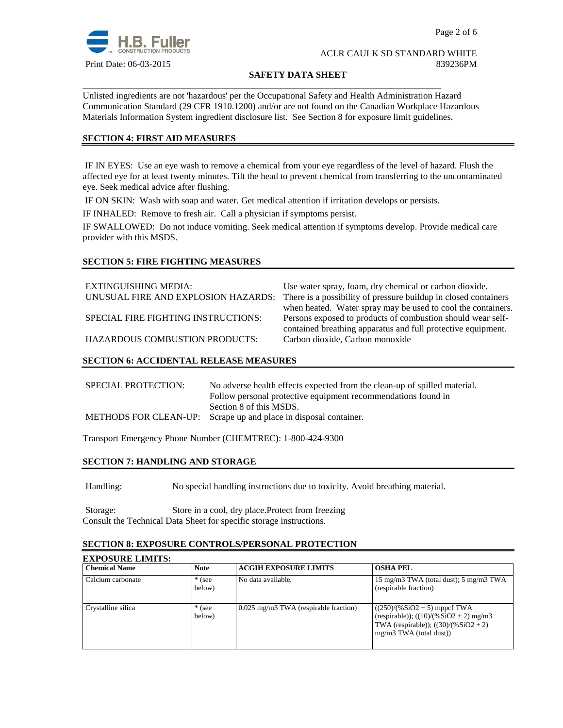

#### **SAFETY DATA SHEET**

Unlisted ingredients are not 'hazardous' per the Occupational Safety and Health Administration Hazard Communication Standard (29 CFR 1910.1200) and/or are not found on the Canadian Workplace Hazardous Materials Information System ingredient disclosure list. See Section 8 for exposure limit guidelines.

\_\_\_\_\_\_\_\_\_\_\_\_\_\_\_\_\_\_\_\_\_\_\_\_\_\_\_\_\_\_\_\_\_\_\_\_\_\_\_\_\_\_\_\_\_\_\_\_\_\_\_\_\_\_\_\_\_\_\_\_\_\_\_\_\_\_\_\_\_\_\_\_\_\_\_\_\_\_

# **SECTION 4: FIRST AID MEASURES**

 IF IN EYES: Use an eye wash to remove a chemical from your eye regardless of the level of hazard. Flush the affected eye for at least twenty minutes. Tilt the head to prevent chemical from transferring to the uncontaminated eye. Seek medical advice after flushing.

IF ON SKIN: Wash with soap and water. Get medical attention if irritation develops or persists.

IF INHALED: Remove to fresh air. Call a physician if symptoms persist.

IF SWALLOWED:Do not induce vomiting. Seek medical attention if symptoms develop. Provide medical care provider with this MSDS.

# **SECTION 5: FIRE FIGHTING MEASURES**

EXTINGUISHING MEDIA: Use water spray, foam, dry chemical or carbon dioxide. UNUSUAL FIRE AND EXPLOSION HAZARDS: There is a possibility of pressure buildup in closed containers when heated. Water spray may be used to cool the containers. SPECIAL FIRE FIGHTING INSTRUCTIONS: Persons exposed to products of combustion should wear selfcontained breathing apparatus and full protective equipment. HAZARDOUS COMBUSTION PRODUCTS: Carbon dioxide, Carbon monoxide

# **SECTION 6: ACCIDENTAL RELEASE MEASURES**

| SPECIAL PROTECTION: | No adverse health effects expected from the clean-up of spilled material. |
|---------------------|---------------------------------------------------------------------------|
|                     | Follow personal protective equipment recommendations found in             |
|                     | Section 8 of this MSDS.                                                   |
|                     | METHODS FOR CLEAN-UP: Scrape up and place in disposal container.          |
|                     |                                                                           |

Transport Emergency Phone Number (CHEMTREC): 1-800-424-9300

#### **SECTION 7: HANDLING AND STORAGE**

Handling: No special handling instructions due to toxicity. Avoid breathing material.

Storage: Store in a cool, dry place.Protect from freezing Consult the Technical Data Sheet for specific storage instructions.

#### **SECTION 8: EXPOSURE CONTROLS/PERSONAL PROTECTION**

| <b>EXPOSURE LIMITS:</b> |                    |                                         |                                                                                                                                                   |  |
|-------------------------|--------------------|-----------------------------------------|---------------------------------------------------------------------------------------------------------------------------------------------------|--|
| <b>Chemical Name</b>    | <b>Note</b>        | <b>ACGIH EXPOSURE LIMITS</b>            | <b>OSHA PEL</b>                                                                                                                                   |  |
| Calcium carbonate       | $*$ (see<br>below) | No data available.                      | 15 mg/m3 TWA (total dust); 5 mg/m3 TWA<br>(respirable fraction)                                                                                   |  |
| Crystalline silica      | $*$ (see<br>below) | $0.025$ mg/m3 TWA (respirable fraction) | $((250)/(%SiO2 + 5)$ mppcf TWA<br>(respirable)); $((10)/(%SiO2 + 2)$ mg/m3<br>TWA (respirable)); $((30)/(%SiO2 + 2)$<br>$mg/m3$ TWA (total dust)) |  |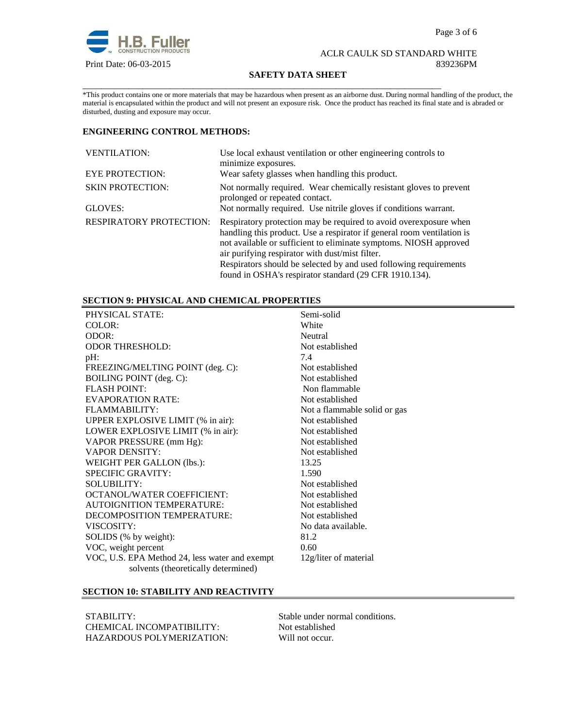

#### **SAFETY DATA SHEET**

\_\_\_\_\_\_\_\_\_\_\_\_\_\_\_\_\_\_\_\_\_\_\_\_\_\_\_\_\_\_\_\_\_\_\_\_\_\_\_\_\_\_\_\_\_\_\_\_\_\_\_\_\_\_\_\_\_\_\_\_\_\_\_\_\_\_\_\_\_\_\_\_\_\_\_\_\_\_ \*This product contains one or more materials that may be hazardous when present as an airborne dust. During normal handling of the product, the material is encapsulated within the product and will not present an exposure risk. Once the product has reached its final state and is abraded or disturbed, dusting and exposure may occur.

# **ENGINEERING CONTROL METHODS:**

| <b>VENTILATION:</b>            | Use local exhaust ventilation or other engineering controls to<br>minimize exposures.                                                                                                                                                                                                                                                     |  |  |
|--------------------------------|-------------------------------------------------------------------------------------------------------------------------------------------------------------------------------------------------------------------------------------------------------------------------------------------------------------------------------------------|--|--|
| <b>EYE PROTECTION:</b>         | Wear safety glasses when handling this product.                                                                                                                                                                                                                                                                                           |  |  |
| <b>SKIN PROTECTION:</b>        | Not normally required. Wear chemically resistant gloves to prevent<br>prolonged or repeated contact.                                                                                                                                                                                                                                      |  |  |
| GLOVES:                        | Not normally required. Use nitrile gloves if conditions warrant.                                                                                                                                                                                                                                                                          |  |  |
| <b>RESPIRATORY PROTECTION:</b> | Respiratory protection may be required to avoid over exposure when<br>handling this product. Use a respirator if general room ventilation is<br>not available or sufficient to eliminate symptoms. NIOSH approved<br>air purifying respirator with dust/mist filter.<br>Respirators should be selected by and used following requirements |  |  |
|                                | found in OSHA's respirator standard (29 CFR 1910.134).                                                                                                                                                                                                                                                                                    |  |  |

# **SECTION 9: PHYSICAL AND CHEMICAL PROPERTIES**

| PHYSICAL STATE:                                | Semi-solid                   |
|------------------------------------------------|------------------------------|
| COLOR:                                         | White                        |
| ODOR:                                          | Neutral                      |
| <b>ODOR THRESHOLD:</b>                         | Not established              |
| $pH$ :                                         | 7.4                          |
| FREEZING/MELTING POINT (deg. C):               | Not established              |
| <b>BOILING POINT</b> (deg. C):                 | Not established              |
| <b>FLASH POINT:</b>                            | Non flammable                |
| <b>EVAPORATION RATE:</b>                       | Not established              |
| FLAMMABILITY:                                  | Not a flammable solid or gas |
| UPPER EXPLOSIVE LIMIT (% in air):              | Not established              |
| LOWER EXPLOSIVE LIMIT (% in air):              | Not established              |
| VAPOR PRESSURE (mm Hg):                        | Not established              |
| <b>VAPOR DENSITY:</b>                          | Not established              |
| WEIGHT PER GALLON (lbs.):                      | 13.25                        |
| <b>SPECIFIC GRAVITY:</b>                       | 1.590                        |
| <b>SOLUBILITY:</b>                             | Not established              |
| <b>OCTANOL/WATER COEFFICIENT:</b>              | Not established              |
| <b>AUTOIGNITION TEMPERATURE:</b>               | Not established              |
| DECOMPOSITION TEMPERATURE:                     | Not established              |
| VISCOSITY:                                     | No data available.           |
| SOLIDS (% by weight):                          | 81.2                         |
| VOC, weight percent                            | 0.60                         |
| VOC, U.S. EPA Method 24, less water and exempt | 12g/liter of material        |
| solvents (theoretically determined)            |                              |

# **SECTION 10: STABILITY AND REACTIVITY**

STABILITY: Stable under normal conditions.<br>
CHEMICAL INCOMPATIBILITY: Not established CHEMICAL INCOMPATIBILITY: HAZARDOUS POLYMERIZATION: Will not occur.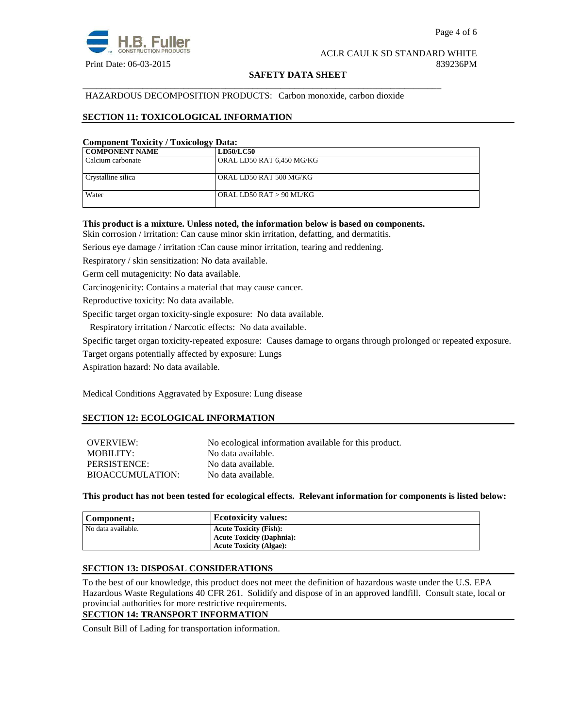

### **SAFETY DATA SHEET**

### HAZARDOUS DECOMPOSITION PRODUCTS: Carbon monoxide, carbon dioxide

\_\_\_\_\_\_\_\_\_\_\_\_\_\_\_\_\_\_\_\_\_\_\_\_\_\_\_\_\_\_\_\_\_\_\_\_\_\_\_\_\_\_\_\_\_\_\_\_\_\_\_\_\_\_\_\_\_\_\_\_\_\_\_\_\_\_\_\_\_\_\_\_\_\_\_\_\_\_

# **SECTION 11: TOXICOLOGICAL INFORMATION**

#### **Component Toxicity / Toxicology Data:**

| <b>COMPONENT NAME</b> | <b>LD50/LC50</b>          |
|-----------------------|---------------------------|
| Calcium carbonate     | ORAL LD50 RAT 6.450 MG/KG |
|                       |                           |
| Crystalline silica    | ORAL LD50 RAT 500 MG/KG   |
|                       |                           |
| Water                 | ORAL LD50 RAT > 90 ML/KG  |
|                       |                           |

#### **This product is a mixture. Unless noted, the information below is based on components.**

Skin corrosion / irritation: Can cause minor skin irritation, defatting, and dermatitis.

Serious eye damage / irritation :Can cause minor irritation, tearing and reddening.

Respiratory / skin sensitization: No data available.

Germ cell mutagenicity: No data available.

Carcinogenicity: Contains a material that may cause cancer.

Reproductive toxicity: No data available.

Specific target organ toxicity-single exposure:No data available.

Respiratory irritation / Narcotic effects: No data available.

Specific target organ toxicity-repeated exposure:Causes damage to organs through prolonged or repeated exposure.

Target organs potentially affected by exposure: Lungs

Aspiration hazard: No data available.

Medical Conditions Aggravated by Exposure: Lung disease

#### **SECTION 12: ECOLOGICAL INFORMATION**

OVERVIEW: No ecological information available for this product. MOBILITY: No data available. PERSISTENCE: No data available. BIOACCUMULATION: No data available.

**This product has not been tested for ecological effects. Relevant information for components is listed below:** 

| Component:         | <b>Ecotoxicity values:</b>       |
|--------------------|----------------------------------|
| No data available. | <b>Acute Toxicity (Fish):</b>    |
|                    | <b>Acute Toxicity (Daphnia):</b> |
|                    | <b>Acute Toxicity (Algae):</b>   |

#### **SECTION 13: DISPOSAL CONSIDERATIONS**

To the best of our knowledge, this product does not meet the definition of hazardous waste under the U.S. EPA Hazardous Waste Regulations 40 CFR 261. Solidify and dispose of in an approved landfill. Consult state, local or provincial authorities for more restrictive requirements.

#### **SECTION 14: TRANSPORT INFORMATION**

Consult Bill of Lading for transportation information.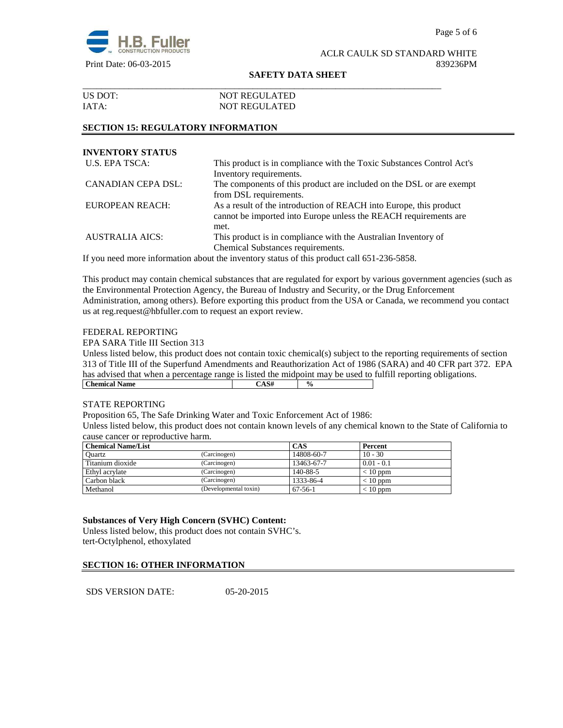

#### **SAFETY DATA SHEET**

| US DOT: | <b>NOT REGULATED</b> |  |
|---------|----------------------|--|
| IATA:   | <b>NOT REGULATED</b> |  |

# **SECTION 15: REGULATORY INFORMATION**

| <b>INVENTORY STATUS</b> |                                                                       |
|-------------------------|-----------------------------------------------------------------------|
| U.S. EPA TSCA:          | This product is in compliance with the Toxic Substances Control Act's |
|                         | Inventory requirements.                                               |
| CANADIAN CEPA DSL:      | The components of this product are included on the DSL or are exempt  |
|                         | from DSL requirements.                                                |
| EUROPEAN REACH:         | As a result of the introduction of REACH into Europe, this product    |
|                         | cannot be imported into Europe unless the REACH requirements are      |
|                         | met.                                                                  |
| <b>AUSTRALIA AICS:</b>  | This product is in compliance with the Australian Inventory of        |
|                         | Chemical Substances requirements.                                     |

If you need more information about the inventory status of this product call 651-236-5858.

This product may contain chemical substances that are regulated for export by various government agencies (such as the Environmental Protection Agency, the Bureau of Industry and Security, or the Drug Enforcement Administration, among others). Before exporting this product from the USA or Canada, we recommend you contact us at reg.request@hbfuller.com to request an export review.

#### FEDERAL REPORTING

EPA SARA Title III Section 313

Unless listed below, this product does not contain toxic chemical(s) subject to the reporting requirements of section 313 of Title III of the Superfund Amendments and Reauthorization Act of 1986 (SARA) and 40 CFR part 372. EPA has advised that when a percentage range is listed the midpoint may be used to fulfill reporting obligations.<br> **CAS#**  $\frac{96}{9}$ **Chemical Name** 

#### STATE REPORTING

Proposition 65, The Safe Drinking Water and Toxic Enforcement Act of 1986:

Unless listed below, this product does not contain known levels of any chemical known to the State of California to cause cancer or reproductive harm.

| <b>Chemical Name/List</b> |                       | CAS        | Percent      |
|---------------------------|-----------------------|------------|--------------|
| Ouartz                    | (Carcinogen)          | 14808-60-7 | $10 - 30$    |
| Titanium dioxide          | (Carcinogen)          | 13463-67-7 | $0.01 - 0.1$ |
| Ethyl acrylate            | (Carcinogen)          | 140-88-5   | $< 10$ ppm   |
| Carbon black              | (Carcinogen)          | 1333-86-4  | $< 10$ ppm   |
| Methanol                  | (Developmental toxin) | $67-56-1$  | $< 10$ ppm   |

# **Substances of Very High Concern (SVHC) Content:**

Unless listed below, this product does not contain SVHC's. tert-Octylphenol, ethoxylated

# **SECTION 16: OTHER INFORMATION**

SDS VERSION DATE: 05-20-2015